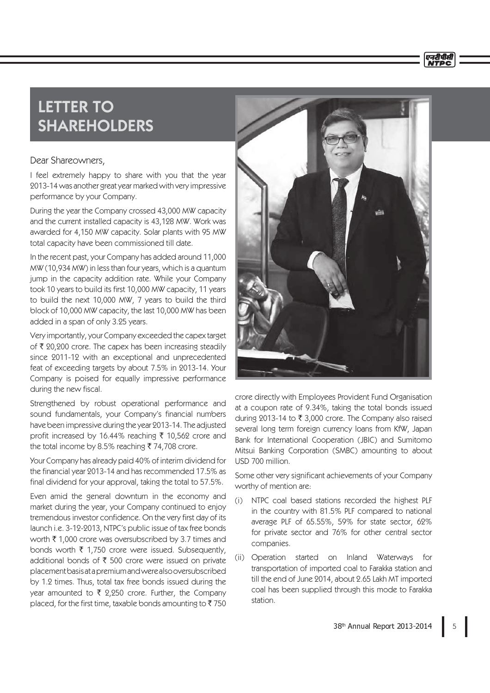## LETTER TO SHAREHOLDERS

## Dear Shareowners,

I feel extremely happy to share with you that the year 2013-14 was another great year marked with very impressive performance by your Company.

During the year the Company crossed 43,000 MW capacity and the current installed capacity is 43,128 MW. Work was awarded for 4,150 MW capacity. Solar plants with 95 MW total capacity have been commissioned till date.

In the recent past, your Company has added around 11,000 MW (10,934 MW) in less than four years, which is a quantum jump in the capacity addition rate. While your Company took 10 years to build its first 10,000 MW capacity, 11 years to build the next 10,000 MW, 7 years to build the third block of 10,000 MW capacity, the last 10,000 MW has been added in a span of only 3.25 years.

Very importantly, your Company exceeded the capex target of  $\bar{\tau}$  20,200 crore. The capex has been increasing steadily since 2011-12 with an exceptional and unprecedented feat of exceeding targets by about 7.5% in 2013-14. Your Company is poised for equally impressive performance during the new fiscal.

Strengthened by robust operational performance and sound fundamentals, your Company's financial numbers have been impressive during the year 2013-14. The adjusted profit increased by 16.44% reaching  $\bar{\tau}$  10,562 crore and the total income by 8.5% reaching  $\bar{\tau}$  74,708 crore.

Your Company has already paid 40% of interim dividend for the financial year 2013-14 and has recommended 17.5% as final dividend for your approval, taking the total to 57.5%.

Even amid the general downturn in the economy and market during the year, your Company continued to enjoy tremendous investor confidence. On the very first day of its launch i.e. 3-12-2013, NTPC's public issue of tax free bonds worth  $\bar{\tau}$  1,000 crore was oversubscribed by 3.7 times and bonds worth  $\bar{\tau}$  1,750 crore were issued. Subsequently, additional bonds of  $\bar{\tau}$  500 crore were issued on private placement basis at a premium and were also oversubscribed by 1.2 times. Thus, total tax free bonds issued during the year amounted to  $\bar{\tau}$  2,250 crore. Further, the Company placed, for the first time, taxable bonds amounting to  $\bar{z}$  750



एनदीपीर्स

crore directly with Employees Provident Fund Organisation at a coupon rate of 9.34%, taking the total bonds issued during 2013-14 to  $\bar{\tau}$  3,000 crore. The Company also raised several long term foreign currency loans from KfW, Japan Bank for International Cooperation (JBIC) and Sumitomo Mitsui Banking Corporation (SMBC) amounting to about USD 700 million.

Some other very significant achievements of your Company worthy of mention are:

- (i) NTPC coal based stations recorded the highest PLF in the country with 81.5% PLF compared to national average PLF of 65.55%, 59% for state sector, 62% for private sector and 76% for other central sector companies.
- (ii) Operation started on Inland Waterways for transportation of imported coal to Farakka station and till the end of June 2014, about 2.65 Lakh MT imported coal has been supplied through this mode to Farakka station.